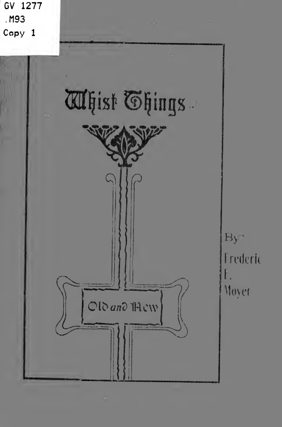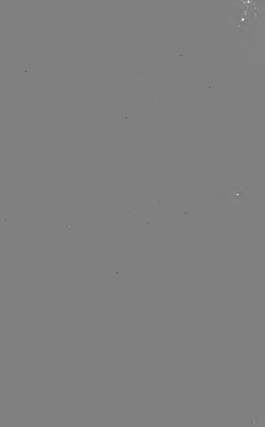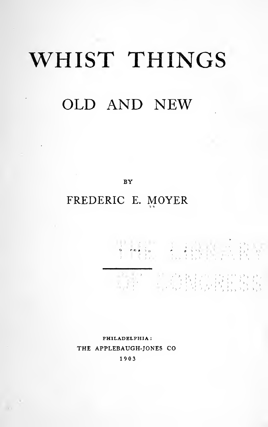## WHIST THINGS OLD AND NEW

**BY** 

#### FREDERIC E.MOVER

 $\frac{1}{2}\left[\frac{1}{2}\right]_{1}^{2}=-\frac{1}{2}\left[\frac{1}{2}\frac{1}{2}\frac{1}{2}\frac{1}{2}\frac{1}{2}\frac{1}{2}\frac{1}{2}\frac{1}{2}\frac{1}{2}\frac{1}{2}\frac{1}{2}\frac{1}{2}\frac{1}{2}\frac{1}{2}\frac{1}{2}\frac{1}{2}\frac{1}{2}\frac{1}{2}\frac{1}{2}\frac{1}{2}\frac{1}{2}\frac{1}{2}\frac{1}{2}\frac{1}{2}\frac{1}{2}\frac{1}{2}\frac{1}{2}\frac{1}{2}\frac{1}{2}\frac{1}{2}\frac{1}{2}\frac$ 

PHILADELPHIA: THE APPLEBAUGH-JONES CO 1903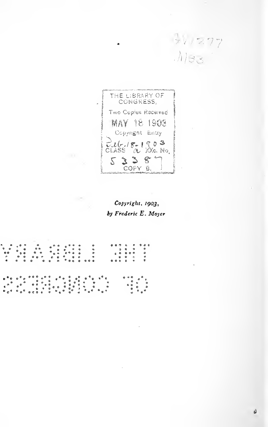THE LIBRARY OF CONGRESS, Two Copies Received MAY 18 1903 Copyright Entry  $\frac{c}{c}$ Let  $\frac{c}{c}$   $\frac{1}{c}$   $\frac{a}{c}$   $\frac{a}{c}$   $\frac{a}{c}$   $\frac{a}{c}$   $\frac{a}{c}$   $\frac{b}{c}$ 5 3 3 8

 $71/277$  $. A$ B3

Copyright, IQ03, by Frederic E. Moye

 $\ddot{\cdot}$  $\ddot{\bullet}$  $\begin{array}{c} \bullet & \bullet \\ \bullet & \bullet \end{array}$  $\ddot{\bullet}$  $\ddot{\cdot}$  $\frac{9}{2}$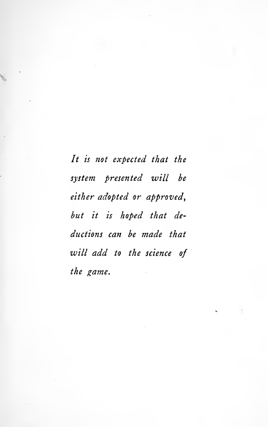It is not expected that the system presented will be either adopted or approved, but it is hoped that de ductions can be made that will add to the science of the game.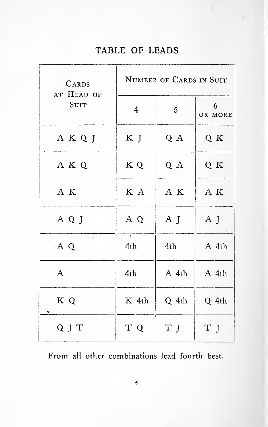#### TABLE OF LEADS

| CARDS<br>AT HEAD OF |          | NUMBER OF CARDS IN SUIT |              |
|---------------------|----------|-------------------------|--------------|
| SUIT                | 4        | 5                       | 6<br>OR MORE |
| AKQJ                | K J      | Q A                     | Q K          |
| A K Q               | K Q      | Q A                     | Q K          |
| A K                 | K A      | A K                     | A K          |
| A Q J               | A Q      | A J                     | ΑJ           |
| A Q                 | r<br>4th | 4th                     | A 4th        |
| A                   | 4th      | A 4th                   | A 4th        |
| K Q<br>$\mathbf{r}$ | K 4th    | Q 4th                   | Q 4th        |
| Q J T               | T Q      | T J                     | T J          |

From all other combinations lead fourth best.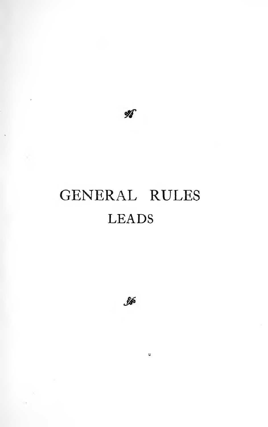98

### GENERAL RULES **LEADS**

Ĵ\$

k.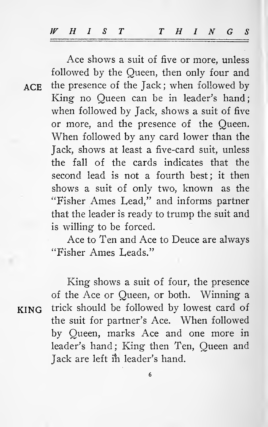Ace shows a suit of five or more, unless followed by the Queen, then only four and ACE the presence of the Jack; when followed by King no Queen can be in leader's hand when followed by Jack, shows a suit of five or more, and the presence of the Queen. When followed by any card lower than the Jack, shows at least a five-card suit, unless the fall of the cards indicates that the second lead is not a fourth best; it then shows a suit of only two, known as the "Fisher Ames Lead," and informs partner that the leader is ready to trump the suit and is willing to be forced.

> Ace to Ten and Ace to Deuce are always "Fisher Ames Leads."

King shows a suit of four, the presence of the Ace or Queen, or both. Winning a KING trick should be followed by lowest card of the suit for partner's Ace. When followed by Queen, marks Ace and one more in leader's hand; King then Ten, Queen and Jack are left in leader's hand.

6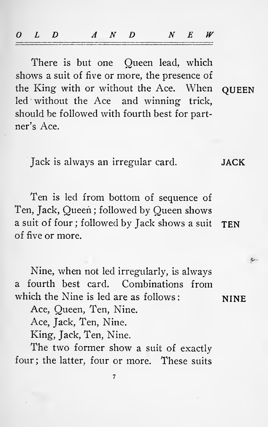| $O$ $L$ $D$ $A$ $N$ $D$ $N$ $E$ $W$ |  |  |
|-------------------------------------|--|--|
|-------------------------------------|--|--|

There is but one Queen lead, which shows a suit of five or more, the presence of the King with or without the Ace. When led without the Ace and winning trick, should be followed with fourth best for partner's Ace. **OUEEN** 

Jack is always an irregular card. JACK

Ten is led from bottom of sequence of Ten, Jack, Queen ; followed by Queen shows a suit of four; followed by Jack shows a suit TEN of five or more.

Nine, when not led irregularly, is always a fourth best card. Combinations from which the Nine is led are as follows

Ace, Queen, Ten, Nine.

Ace, Jack, Ten, Nine.

King, Jack, Ten, Nine.

The two former show a suit of exactly four ; the latter, four or more. These suits

 $\overline{7}$ 

NINE

 $\sim$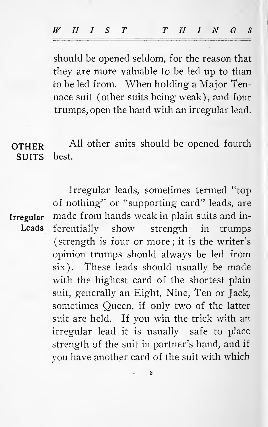should be opened seldom, for the reason that they are more valuable to be led up to than to be led from. When holding <sup>a</sup> Major Tennace suit (other suits being weak), and four trumps, open the hand with an irregular lead.

**OTHER** All other suits should be opened fourth<br>SIIITS best. **SUITS** 

Irregular Leads

Irregular leads, sometimes termed "top of nothing" or "supporting card" leads, are made from hands weak in plain suits and in ferentially show strength in trumps (strength is four or more; it is the writer's opinion trumps should always be led from six). These leads should usually be made with the highest card of the shortest plain suit, generally an Eight, Nine, Ten or Jack, sometimes Queen, if only two of the latter suit are held. If you win the trick with an irregular lead it is usually safe to place strength of the suit in partner's hand, and if vou have another card of the suit with which

8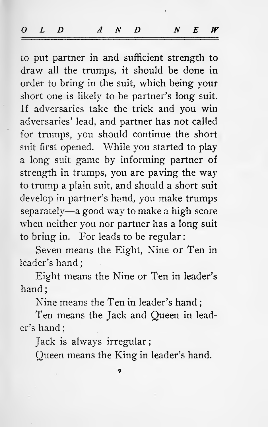| OLD AND NEW |  |  |  |  |  |
|-------------|--|--|--|--|--|
|             |  |  |  |  |  |

to put partner in and sufficient strength to draw all the trumps, it should be done in order to bring in the suit, which being your short one is likely to be partner's long suit. If adversaries take the trick and you win adversaries' lead, and partner has not called for trumps, you should continue the short suit first opened. While you started to play a long suit game by informing partner of strength in trumps, you are paving the way to trump a plain suit, and should a short suit develop in partner's hand, you make trumps separately—a good way to make a high score when neither you nor partner has a long suit to bring in. For leads to be regular

Seven means the Eight, Nine or Ten in leader's hand

Eight means the Nine or Ten in leader's hand;

Nine means the Ten in leader's hand

Ten means the Jack and Queen in leader's hand

Jack is always irregular;

Queen means the King in leader's hand.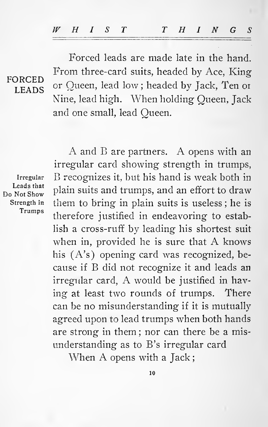FORCED **LEADS** 

Forced leads are made late in the hand. From three-card suits, headed by Ace, King or Queen, lead low ; headed by Jack, Ten orNine, lead high. When holding Queen, Jack and one small, lead Oueen.

Irregular Leads that Do Not Show Strength in Trumps

A and B are partners. A opens with an irregular card showing strength in trumps, B recognizes it, but his hand is weak both in plain suits and trumps, and an effort to draw them to bring in plain suits is useless ; he istherefore justified in endeavoring to establish a cross-ruff by leading his shortest suit when in, provided he is sure that A knows his (A's) opening card was recognized, be cause if B did not recognize it and leads an irregular card, A would be justified in having at least two rounds of trumps. There can be no misunderstanding if it is mutually agreed upon to lead trumps when both hands are strong in them ; nor can there be a misunderstanding as to B's irregular card

When A opens with a Jack;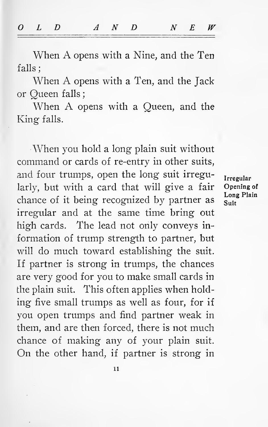|  |  |  | $O$ $L$ $D$ $A$ $N$ $D$ $N$ $E$ $W$ |                                                                                                                 |  |  |
|--|--|--|-------------------------------------|-----------------------------------------------------------------------------------------------------------------|--|--|
|  |  |  |                                     | and the state of the state of the state of the state of the state of the state of the state of the state of the |  |  |

When A opens with <sup>a</sup> Nine, and the Ten falls :

When A opens with <sup>a</sup> Ten, and the Jack or Queen falls

When A opens with <sup>a</sup> Queen, and the King falls.

When you hold <sup>a</sup> long plain suit without command or cards of re-entry in other suits, and four trumps, open the long suit irregularly, but with a card that will give a fair Opening of chance of it being recognized by partner as  $\frac{L \text{on}}{\text{Sult}}$ irregular and at the same time bring out high cards. The lead not only conveys in formation of trump strength to partner, but will do much toward establishing the suit. If partner is strong in trumps, the chances are very good for you to make small cards in the plain suit. This often applies when holding five small trumps as well as four, for if you open trumps and find partner weak in them, and are then forced, there is not much chance of making any of your plain suit. On the other hand, if partner is strong in

 $11$ 

ong Plain<br>uit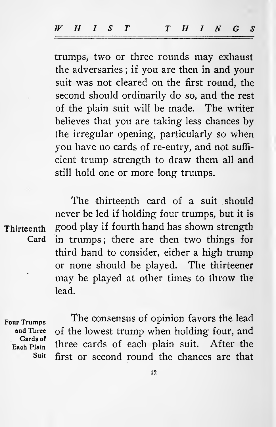trumps, two or three rounds may exhaust the adversaries ; if you are then in and your suit was not cleared on the first round, the second should ordinarily do so, and the rest of the plain suit will be made. The writer believes that you are taking less chances by the irregular opening, particularly so when you have no cards of re-entry, and not suffi cient trump strength to draw them all and still hold one or more long trumps.

Thirteenth Card

The thirteenth card of a suit should never be led if holding four trumps, but it is good play if fourth hand has shown strength in trumps; there are then two things for third hand to consider, either a high trump or none should be played. The thirteener may be played at other times to throw the lead.

 $F_{\text{our Trumps}}$  The consensus of opinion favors the lead and Three of the lowest trump when holding four, and Cards of Each Plain three cards of each plain suit. After the Suit first or second round the chances are that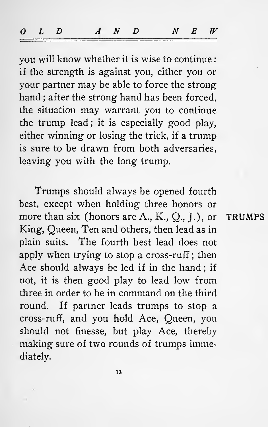you will know whether it is wise to continue if the strength is against you, either you or your partner may be able to force the strong hand ; after the strong hand has been forced, the situation may warrant you to continue the trump lead; it is especially good play, either winning or losing the trick, if a trump is sure to be drawn from both adversaries, leaving you with the long trump.

Trumps should always be opened fourth best, except when holding three honors or more than six (honors are A., K., Q., J.), or TRUMPS King, Queen, Ten and others, then lead as in plain suits. The fourth best lead does not apply when trying to stop a cross-ruff ; then Ace should always be led if in the hand ; if not, it is then good play to lead low from three in order to be in command on the third round. If partner leads trumps to stop a cross-ruff, and you hold Ace, Queen, you should not finesse, but play Ace, thereby making sure of two rounds of trumps immediately.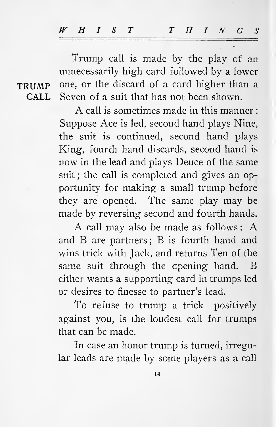Trump call is made by the play of an unnecessarily high card followed by a lower **TRUMP** one, or the discard of a card higher than a<br>CALL Seven of a suit that has not been shown. Seven of a suit that has not been shown.

> A call is sometimes made in this manner Suppose Ace is led, second hand plays Nine, the suit is continued, second hand plays King, fourth hand discards, second hand is now in the lead and plays Deuce of the same suit; the call is completed and gives an opportunity for making a small trump before they are opened. The same play may be made by reversing second and fourth hands.

> A call may also be made as follows : A and B are partners ; B is fourth hand and wins trick with Jack, and returns Ten of the same suit through the cpening hand. B either wants a supporting card in trumps led or desires to finesse to partner's lead.

> To refuse to trump a trick positively against you, is the loudest call for trumps that can be made.

> In case an honor trump is turned, irregular leads are made by some players as a call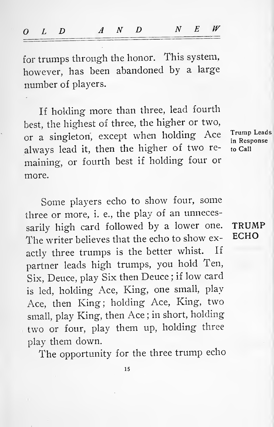|--|--|--|--|--|--|--|

for trumps through the honor. This system, however, has been abandoned by <sup>a</sup> large number of players.

If holding more than three, lead fourth best, the highest of three, the higher or two, or a singleton, except when holding Ace Trump Lead always lead it, then the higher of two re- to Call maining, or fourth best if holding four or more.

TRUMP ECHO

Some players echo to show four, some three or more, i. e., the play of an unnecessarily high card followed by a lower one. The writer believes that the echo to show exactly three trumps is the better whist. If partner leads high trumps, you hold Ten, Six, Deuce, play Six then Deuce; if low card is led, holding Ace, King, one small, play Ace, then King; holding Ace, King, two small, play King, then Ace ; in short, holding two or four, play them up, holding three play them down.

The opportunity for the three trump echo

15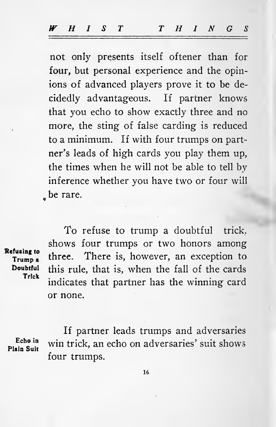not only presents itself oftener than for four, but personal experience and the opinions of advanced players prove it to be de cidedly advantageous. If partner knows that you echo to show exactly three and no more, the sting of false carding is reduced to a minimum. If with four trumps on partner's leads of high cards you play them up, the times when he will not be able to tell by inference whether you have two or four will be rare.

To refuse to trump <sup>a</sup> doubtful trick, shows four trumps or two honors among  $T_{\text{rump a}}$  three. There is, however, an exception to Doubtful this rule that is when the fall of the cards  $\frac{u\text{bit}}{v\text{let}}$  this rule, that is, when the fall of the cards indicates that partner has the winning card or none.

Plain Suit

If partner leads trumps and adversaries  $\frac{\text{Echo in}}{\text{sin Sult}}$  win trick, an echo on adversaries' suit shows four trumps.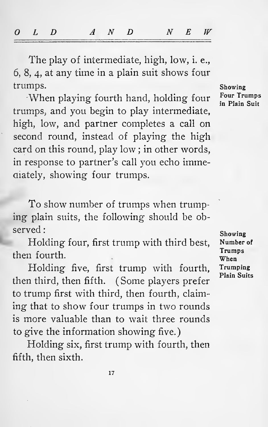| $O$ $L$ $D$ $A$ $N$ $D$ $N$ $E$ $W$ |  |  |  |  |  |  |  |  |  |  |
|-------------------------------------|--|--|--|--|--|--|--|--|--|--|
|-------------------------------------|--|--|--|--|--|--|--|--|--|--|

The play of intermediate, high, low, i. e., 6, 8, 4, at any time in a plain suit shows four trumps.

When playing fourth hand, holding four Four Trumps trumps; and you begin to play intermediate, high, low, and partner completes a call on second round, instead of playing the high card on this round, play low ; in other words, in response to partner's call you echo immediately, showing four trumps.

To show number of trumps when trumping plain suits, the following should be observed :

Holding four, first trump with third best, then fourth.

Holding five, first trump with fourth, then third, then fifth. (Some players prefer to trump first with third, then fourth, claiming that to show four trumps in two rounds is more valuable than to wait three rounds to give the information showing five.)

Holding six, first trump with fourth, then fifth, then sixth.

Showing

Showing Number of Trumps When Trumping Plain Suits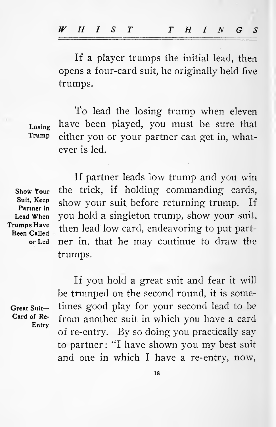If a player trumps the initial lead, then opens a four-card suit, he originally held five trumps.

To lead the losing trump when eleven Losing have been played, you must be sure that Trump either you or your partner can get in, whatever is led.

Show Your Suit, Keep Partner in Lead When Trumps Have Been Called

or Led ner in, that he may continue to draw the If partner leads low trump and you win the trick, if holding commanding cards, show your suit before returning trump. If you hold a singleton trump, show your suit, then lead low card, endeavoring to put part trumps.

Great Suit-Card of Re- Entry

If you hold a great suit and fear it will be trumped on the second round, it is sometimes good play for your second lead to be from another suit in which you have a card of re-entry. By so doing you practically say to partner : "I have shown you my best suit and one in which <sup>I</sup> have a re-entrv, now,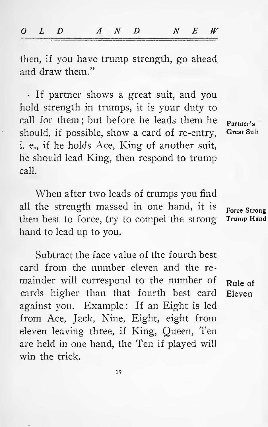| 0 L D A N D N E W |  |  |  |  |  |
|-------------------|--|--|--|--|--|
|                   |  |  |  |  |  |

then, if you have trump strength, go ahead and draw them."

If partner shows a great suit, and you hold strength in trumps, it is your duty to call for them ; but before he leads them he should, if possible, show a card of re-entry, i. e., if he holds Ace, King of another suit, he should lead King, then respond to trump call.

When after two leads of trumps you find all the strength massed in one hand, it is then best to force, try to compel the strong Trump Hand hand to lead up to you.

Subtract the face value of the fourth best card from the number eleven and the re mainder will correspond to the number of  $Rule$  e cards higher than that fourth best card Eleven against you. Example: If an Eight is led from Ace, Jack, Nine, Eight, eight from eleven leaving three, if King, Queen, Ten are held in one hand, the Ten if played will win the trick.

Partner's Great Suit

Force Strong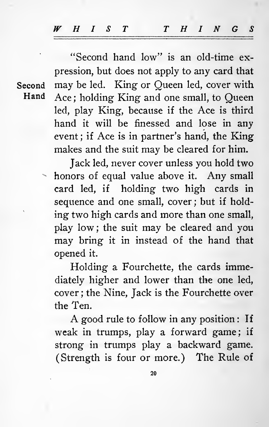"Second hand low" is an old-time expression, but does not apply to any card that Second may be led. King or Queen led, cover with<br>Hand Ace: holding King and one small to Queen Ace ; holding King and one small, to Queen led, play King, because if the Ace is third hand it will be finessed and lose in any event ; if Ace is in partner's hand, the King makes and the suit may be cleared for him.

> Jack led, never cover unless you hold two honors of equal value above it. Any small card led, if holding two high cards in sequence and one small, cover; but if holding two high cards and more than one small, play low; the suit may be cleared and you may bring it in instead of the hand that opened it.

Holding a Fourchette, the cards immediately higher and lower than the one led, cover ; the Nine, Jack is the Fourchette over the Ten.

A good rule to follow in any position : If weak in trumps, play a forward game; if strong in trumps play a backward game. (Strength is four or more.) The Rule of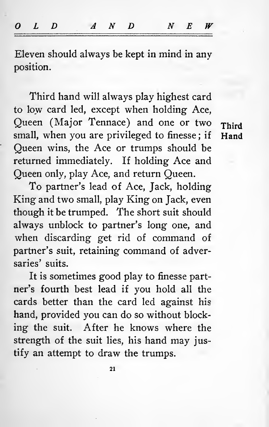| W<br><b>N</b><br>Λ<br>л |   |  |  |  |  |  |
|-------------------------|---|--|--|--|--|--|
|                         | 0 |  |  |  |  |  |

Eleven should always be kept in mind in any position.

Third hand will always play highest card to low card led, except when holding Ace, Queen (Major Tennace) and one or two Third<br>small, when you are privileged to finesse: if Hand small, when you are privileged to finesse; if Queen wins, the Ace or trumps should be returned immediately. If holding Ace and Queen only, play Ace, and return Queen.

To partner's lead of Ace, Jack, holding King and two small, play King on Jack, even though it be trumped. The short suit should always unblock to partner's long one, and when discarding get rid of command of partner's suit, retaining command of adversaries' suits.

It is sometimes good play to finesse partner's fourth best lead if you hold all the cards better than the card led against his hand, provided you can do so without block ing the suit. After he knows where the strength of the suit lies, his hand may justify an attempt to draw the trumps.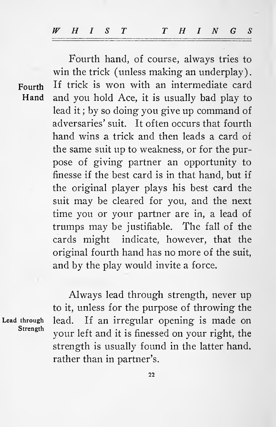|  |  | $W$ H I S T | $T$ <i>H</i> $I$ <i>N</i> $G$ <i>S</i> |  |  |  |
|--|--|-------------|----------------------------------------|--|--|--|
|  |  |             |                                        |  |  |  |

Fourth hand, of course, always tries to win the trick (unless making an underplay). Fourth If trick ls won with an intermediate card Hand and you hold Ace, it is usually bad play to lead it; by so doing you give up command of adversaries' suit. It often occurs that fourth hand wins a trick and then leads a card of the same suit up to weakness, or for the pur pose of giving partner an opportunity to finesse if the best card is in that hand, but if the original player plays his best card the suit may be cleared for you, and the next time you or your partner are in, a lead of trumps may be justifiable. The fall of the cards might indicate, however, that the original fourth hand has no more of the suit, and by the play would invite a force.

Lead through Strength

Always lead through strength, never up to it, unless for the purpose of throwing the lead. If an irregular opening is made on your left and it is finessed on your right, the strength is usually found in the latter hand, rather than in partner's.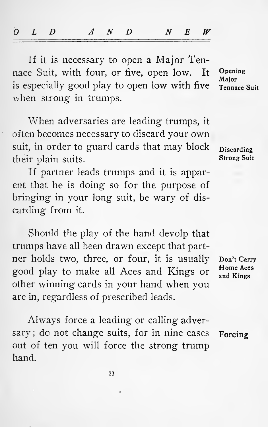| $O$ $L$ $D$ $A$ $N$ $D$ $N$ $E$ $W$ |  |  |  |  |  |  |  |
|-------------------------------------|--|--|--|--|--|--|--|
|-------------------------------------|--|--|--|--|--|--|--|

If it is necessary to open a Major Tennace Suit, with four, or five, open low. It Opening<br>is especially good play to open low with five  $\frac{Major}{Tennace Suit}$ is especially good play to open low with five when strong in trumps.

When adversaries are leading trumps, itoften becomes necessary to discard your own suit, in order to guard cards that may block their plain suits.

If partner leads trumps and it is apparent that he is doing so for the purpose of bringing in your long suit, be wary of dis carding from it.

Should the play of the hand devolp that trumps have all been drawn except that part ner holds two, three, or four, it is usually good play to make all Aces and Kings or other winning cards in your hand when you are in, regardless of prescribed leads.

Don't Carry Home Aces and Kings

Always force a leading or calling adversary ; do not change suits, for in nine cases out of ten you will force the strong trump hand. Forcing

Discarding Strong Suit

 $23$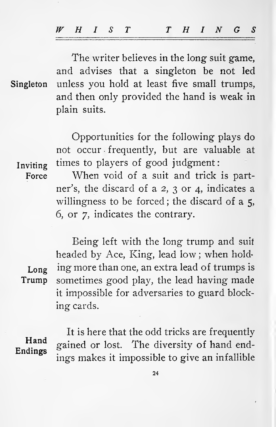| WHIST THINGS |
|--------------|
|--------------|

The writer believes in the long suit game, and advises that a singleton be not led Singleton unless you hold at least five small trumps, and then only provided the hand is weak in plain suits.

> Opportunities for the following plays do not occur frequently, but are valuable at times to players of good judgment:

Inviting Force

When void of a suit and trick is partner's, the discard of a 2, 3 or 4, indicates a willingness to be forced; the discard of a 5, 6, or 7, indicates the contrary.

Long

Trump sometimes good play, the lead having made Being left with the long trump and suit headed by Ace, King, lead low ; when hold ing more than one, an extra lead of trumps is it impossible for adversaries to guard block ing cards.

It is here that the odd tricks are frequently Hand gained or lost. The diversity of hand endings makes it impossible to give an infallible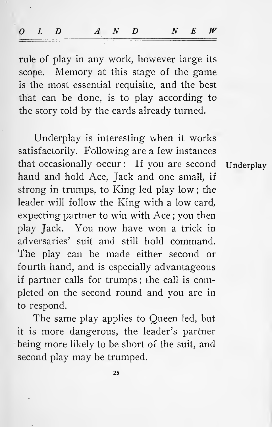| $O$ $L$ $D$ $A$ $N$ $D$ $N$ $E$ $W$ |  |  |  |  |  |  |
|-------------------------------------|--|--|--|--|--|--|
|                                     |  |  |  |  |  |  |

rule of play in any work, however large its scope. Memory at this stage of the game is the most essential requisite, and the best that can be done, is to play according to the story told by the cards already turned.

Underplay is interesting when it works satisfactorily. Following are a few instances that occasionally occur: If you are second Underplay hand and hold Ace, Jack and one small, if strong in trumps, to King led play low ; the leader will follow the King with a low card, expecting partner to win with Ace ; you then play Jack. You now have won a trick in adversaries' suit and still hold command. The play can be made either second or fourth hand, and is especially advantageous if partner calls for trumps ; the call is completed on the second round and you are in to respond.

The same play applies to Queen led, but it is more dangerous, the leader's partner being more likely to be short of the suit, and second play may be trumped.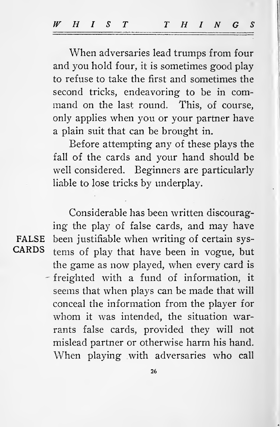When adversaries lead trumps from four and you hold four, it is sometimes good play to refuse to take the first and sometimes the second tricks, endeavoring to be in com mand on the last round. This, of course, only applies when you or your partner have a plain suit that can be brought in.

Before attempting any of these plays the fall of the cards and your hand should be well considered. Beginners are particularly liable to lose tricks by underplay.

Considerable has been written discouraging the play of false cards, and may have FALSE been justifiable when writing of certain sys-<br>CARDS terms of play that have been in young but tems of play that have been in vogue, but the game as now played, when every card is freighted with a fund of information, it seems that when plays can be made that will conceal the information from the player for whom it was intended, the situation warrants false cards, provided they will not mislead partner or otherwise harm his hand. When playing with adversaries who call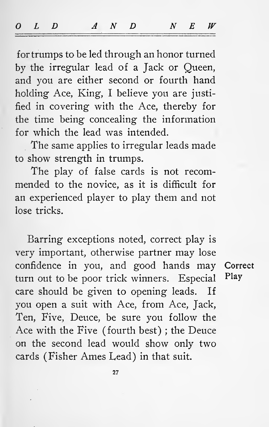for trumps to be led through an honor turned by the irregular lead of a Jack or Queen, and you are either second or fourth hand holding Ace, King, <sup>I</sup> believe you are justified in covering with the Ace, thereby for the time being concealing the information for which the lead was intended.

The same applies to irregular leads made to show strength in trumps.

The play of false cards is not recom mended to the novice, as it is difficult for an experienced player to play them and not lose tricks.

Barring exceptions noted, correct play is very important, otherwise partner may lose confidence in you, and good hands may Correct turn out to be poor trick winners. Especial Play care should be given to opening leads. If you open a suit with Ace, from Ace, Jack, Ten, Five, Deuce, be sure you follow the Ace with the Five (fourth best) ; the Deuce on the second lead would show only two cards (Fisher Ames Lead) in that suit.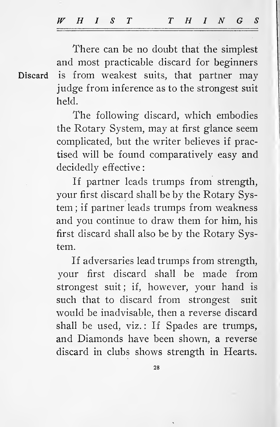WHIST THINGS

There can be no doubt that the simplest and most practicable discard for beginners Discard is from weakest suits, that partner may judge from inference as to the strongest suit held.

> The following discard, which embodies the Rotary System, may at first glance seem complicated, but the writer believes if practised will be found comparatively easy and decidedly effective

> If partner leads trumps from strength, your first discard shall be by the Rotary System ; if partner leads trumps from weakness and you continue to draw them for him, his first discard shall also be by the Rotary System.

> If adversaries lead trumps from strength, your first discard shall be made from strongest suit; if, however, your hand is such that to discard from strongest suit would be inadvisable, then a reverse discard shall be used, viz.: If Spades are trumps, and Diamonds have been shown, a reverse discard in clubs shows strength in Hearts.

> > 28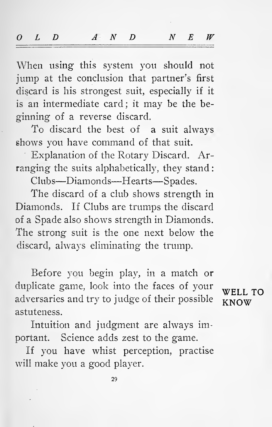When using this system you should not jump at the conclusion that partner's first discard is his strongest suit, especially if it is an intermediate card; it may be the beginning of a reverse discard.

To discard the best of a suit always shows you have command of that suit.

Explanation of the Rotary Discard. Arranging the suits alphabetically, they stand:

Clubs—Diamonds—Hearts—Spades.

The discard of a club shows strength in Diamonds. If Clubs are trumps the discard of a Spade also shows strength in Diamonds. The strong suit is the one next below the discard, always eliminating the trump.

Before you begin play, in a match or duplicate game, look into the faces of your adversaries and try to judge of their possible  $K_{\text{NOW}}$ astuteness.

Intuition and judgment are always important. Science adds zest to the game.

If you have whist perception, practise will make you a good player.

WELL. TO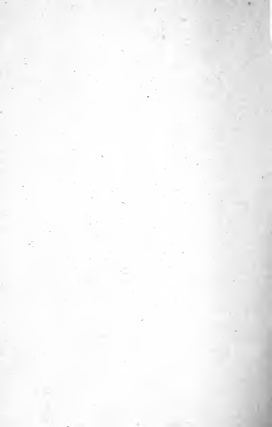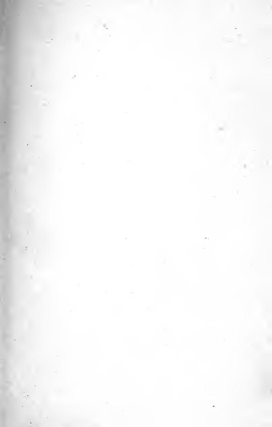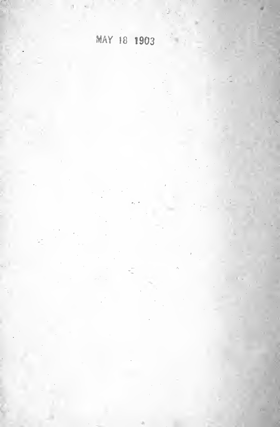MAV <sup>18</sup> 1903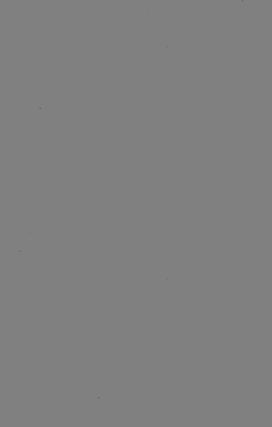